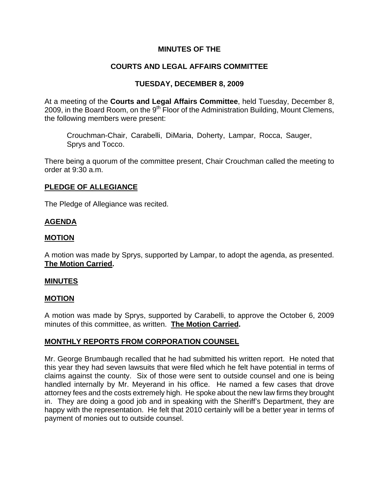## **MINUTES OF THE**

# **COURTS AND LEGAL AFFAIRS COMMITTEE**

## **TUESDAY, DECEMBER 8, 2009**

At a meeting of the **Courts and Legal Affairs Committee**, held Tuesday, December 8, 2009, in the Board Room, on the  $9<sup>th</sup>$  Floor of the Administration Building, Mount Clemens, the following members were present:

Crouchman-Chair, Carabelli, DiMaria, Doherty, Lampar, Rocca, Sauger, Sprys and Tocco.

There being a quorum of the committee present, Chair Crouchman called the meeting to order at 9:30 a.m.

### **PLEDGE OF ALLEGIANCE**

The Pledge of Allegiance was recited.

# **AGENDA**

## **MOTION**

A motion was made by Sprys, supported by Lampar, to adopt the agenda, as presented. **The Motion Carried.** 

#### **MINUTES**

## **MOTION**

A motion was made by Sprys, supported by Carabelli, to approve the October 6, 2009 minutes of this committee, as written. **The Motion Carried.** 

## **MONTHLY REPORTS FROM CORPORATION COUNSEL**

Mr. George Brumbaugh recalled that he had submitted his written report. He noted that this year they had seven lawsuits that were filed which he felt have potential in terms of claims against the county. Six of those were sent to outside counsel and one is being handled internally by Mr. Meyerand in his office. He named a few cases that drove attorney fees and the costs extremely high. He spoke about the new law firms they brought in. They are doing a good job and in speaking with the Sheriff's Department, they are happy with the representation. He felt that 2010 certainly will be a better year in terms of payment of monies out to outside counsel.